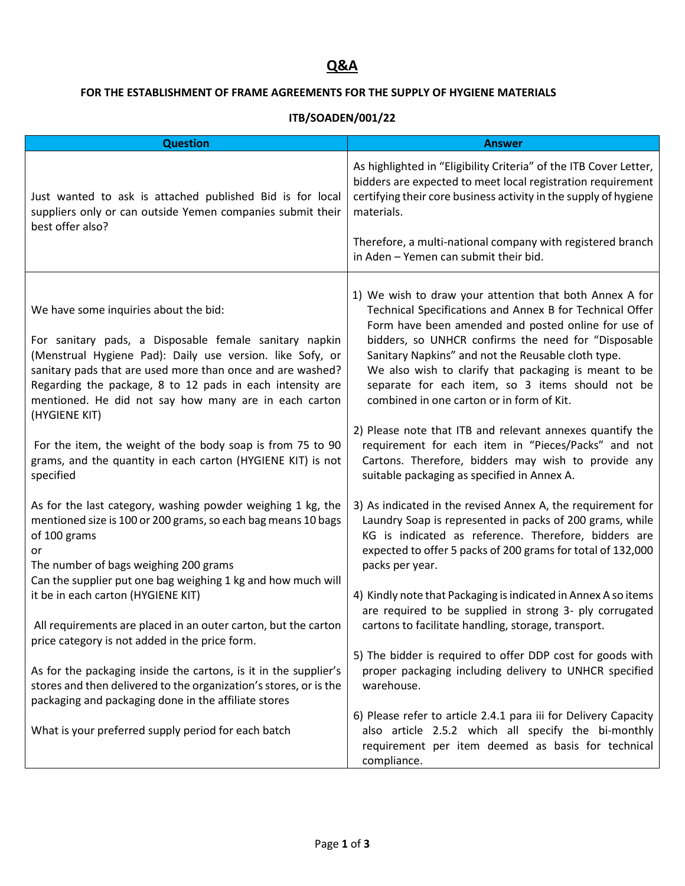## **Q&A**

## **FOR THE ESTABLISHMENT OF FRAME AGREEMENTS FOR THE SUPPLY OF HYGIENE MATERIALS**

## **ITB/SOADEN/001/22**

| <b>Question</b>                                                                                                                                                                                                                                                                                                                                                                                                                 | <b>Answer</b>                                                                                                                                                                                                                                                                                                                                                                                                                                                                                                                                                         |
|---------------------------------------------------------------------------------------------------------------------------------------------------------------------------------------------------------------------------------------------------------------------------------------------------------------------------------------------------------------------------------------------------------------------------------|-----------------------------------------------------------------------------------------------------------------------------------------------------------------------------------------------------------------------------------------------------------------------------------------------------------------------------------------------------------------------------------------------------------------------------------------------------------------------------------------------------------------------------------------------------------------------|
| Just wanted to ask is attached published Bid is for local<br>suppliers only or can outside Yemen companies submit their<br>best offer also?                                                                                                                                                                                                                                                                                     | As highlighted in "Eligibility Criteria" of the ITB Cover Letter,<br>bidders are expected to meet local registration requirement<br>certifying their core business activity in the supply of hygiene<br>materials.                                                                                                                                                                                                                                                                                                                                                    |
|                                                                                                                                                                                                                                                                                                                                                                                                                                 | Therefore, a multi-national company with registered branch<br>in Aden - Yemen can submit their bid.                                                                                                                                                                                                                                                                                                                                                                                                                                                                   |
| We have some inquiries about the bid:<br>For sanitary pads, a Disposable female sanitary napkin<br>(Menstrual Hygiene Pad): Daily use version. like Sofy, or<br>sanitary pads that are used more than once and are washed?<br>Regarding the package, 8 to 12 pads in each intensity are<br>mentioned. He did not say how many are in each carton<br>(HYGIENE KIT)<br>For the item, the weight of the body soap is from 75 to 90 | 1) We wish to draw your attention that both Annex A for<br>Technical Specifications and Annex B for Technical Offer<br>Form have been amended and posted online for use of<br>bidders, so UNHCR confirms the need for "Disposable<br>Sanitary Napkins" and not the Reusable cloth type.<br>We also wish to clarify that packaging is meant to be<br>separate for each item, so 3 items should not be<br>combined in one carton or in form of Kit.<br>2) Please note that ITB and relevant annexes quantify the<br>requirement for each item in "Pieces/Packs" and not |
| grams, and the quantity in each carton (HYGIENE KIT) is not<br>specified                                                                                                                                                                                                                                                                                                                                                        | Cartons. Therefore, bidders may wish to provide any<br>suitable packaging as specified in Annex A.                                                                                                                                                                                                                                                                                                                                                                                                                                                                    |
| As for the last category, washing powder weighing 1 kg, the<br>mentioned size is 100 or 200 grams, so each bag means 10 bags<br>of 100 grams<br>or<br>The number of bags weighing 200 grams<br>Can the supplier put one bag weighing 1 kg and how much will                                                                                                                                                                     | 3) As indicated in the revised Annex A, the requirement for<br>Laundry Soap is represented in packs of 200 grams, while<br>KG is indicated as reference. Therefore, bidders are<br>expected to offer 5 packs of 200 grams for total of 132,000<br>packs per year.                                                                                                                                                                                                                                                                                                     |
| it be in each carton (HYGIENE KIT)<br>All requirements are placed in an outer carton, but the carton<br>price category is not added in the price form.                                                                                                                                                                                                                                                                          | 4) Kindly note that Packaging is indicated in Annex A so items<br>are required to be supplied in strong 3- ply corrugated<br>cartons to facilitate handling, storage, transport.                                                                                                                                                                                                                                                                                                                                                                                      |
| As for the packaging inside the cartons, is it in the supplier's<br>stores and then delivered to the organization's stores, or is the<br>packaging and packaging done in the affiliate stores                                                                                                                                                                                                                                   | 5) The bidder is required to offer DDP cost for goods with<br>proper packaging including delivery to UNHCR specified<br>warehouse.                                                                                                                                                                                                                                                                                                                                                                                                                                    |
| What is your preferred supply period for each batch                                                                                                                                                                                                                                                                                                                                                                             | 6) Please refer to article 2.4.1 para iii for Delivery Capacity<br>also article 2.5.2 which all specify the bi-monthly<br>requirement per item deemed as basis for technical<br>compliance.                                                                                                                                                                                                                                                                                                                                                                           |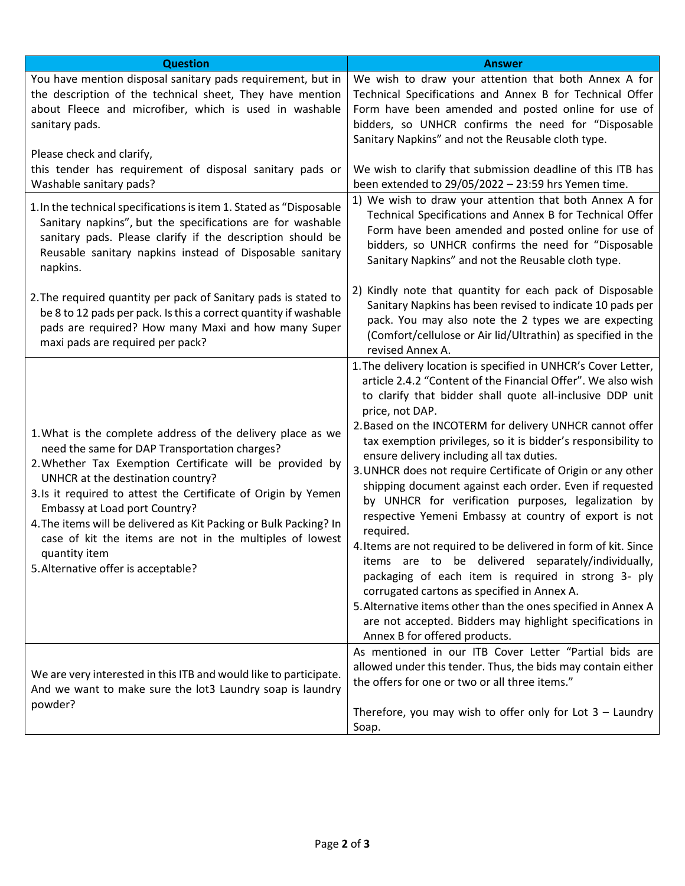| <b>Question</b>                                                                                                                                                                                                                                                                                                                                                                                                                                                                                          | <b>Answer</b>                                                                                                                                                                                                                                                                                                                                                                                                                                                                                                                                                                                                                                                                                                                                                                                                                                                                                                                                                                                                                                  |
|----------------------------------------------------------------------------------------------------------------------------------------------------------------------------------------------------------------------------------------------------------------------------------------------------------------------------------------------------------------------------------------------------------------------------------------------------------------------------------------------------------|------------------------------------------------------------------------------------------------------------------------------------------------------------------------------------------------------------------------------------------------------------------------------------------------------------------------------------------------------------------------------------------------------------------------------------------------------------------------------------------------------------------------------------------------------------------------------------------------------------------------------------------------------------------------------------------------------------------------------------------------------------------------------------------------------------------------------------------------------------------------------------------------------------------------------------------------------------------------------------------------------------------------------------------------|
| You have mention disposal sanitary pads requirement, but in<br>the description of the technical sheet, They have mention<br>about Fleece and microfiber, which is used in washable<br>sanitary pads.                                                                                                                                                                                                                                                                                                     | We wish to draw your attention that both Annex A for<br>Technical Specifications and Annex B for Technical Offer<br>Form have been amended and posted online for use of<br>bidders, so UNHCR confirms the need for "Disposable<br>Sanitary Napkins" and not the Reusable cloth type.                                                                                                                                                                                                                                                                                                                                                                                                                                                                                                                                                                                                                                                                                                                                                           |
| Please check and clarify,<br>this tender has requirement of disposal sanitary pads or<br>Washable sanitary pads?                                                                                                                                                                                                                                                                                                                                                                                         | We wish to clarify that submission deadline of this ITB has<br>been extended to $29/05/2022 - 23:59$ hrs Yemen time.                                                                                                                                                                                                                                                                                                                                                                                                                                                                                                                                                                                                                                                                                                                                                                                                                                                                                                                           |
| 1. In the technical specifications is item 1. Stated as "Disposable<br>Sanitary napkins", but the specifications are for washable<br>sanitary pads. Please clarify if the description should be<br>Reusable sanitary napkins instead of Disposable sanitary<br>napkins.                                                                                                                                                                                                                                  | 1) We wish to draw your attention that both Annex A for<br>Technical Specifications and Annex B for Technical Offer<br>Form have been amended and posted online for use of<br>bidders, so UNHCR confirms the need for "Disposable<br>Sanitary Napkins" and not the Reusable cloth type.                                                                                                                                                                                                                                                                                                                                                                                                                                                                                                                                                                                                                                                                                                                                                        |
| 2. The required quantity per pack of Sanitary pads is stated to<br>be 8 to 12 pads per pack. Is this a correct quantity if washable<br>pads are required? How many Maxi and how many Super<br>maxi pads are required per pack?                                                                                                                                                                                                                                                                           | 2) Kindly note that quantity for each pack of Disposable<br>Sanitary Napkins has been revised to indicate 10 pads per<br>pack. You may also note the 2 types we are expecting<br>(Comfort/cellulose or Air lid/Ultrathin) as specified in the<br>revised Annex A.                                                                                                                                                                                                                                                                                                                                                                                                                                                                                                                                                                                                                                                                                                                                                                              |
| 1. What is the complete address of the delivery place as we<br>need the same for DAP Transportation charges?<br>2. Whether Tax Exemption Certificate will be provided by<br>UNHCR at the destination country?<br>3.Is it required to attest the Certificate of Origin by Yemen<br>Embassy at Load port Country?<br>4. The items will be delivered as Kit Packing or Bulk Packing? In<br>case of kit the items are not in the multiples of lowest<br>quantity item<br>5. Alternative offer is acceptable? | 1. The delivery location is specified in UNHCR's Cover Letter,<br>article 2.4.2 "Content of the Financial Offer". We also wish<br>to clarify that bidder shall quote all-inclusive DDP unit<br>price, not DAP.<br>2. Based on the INCOTERM for delivery UNHCR cannot offer<br>tax exemption privileges, so it is bidder's responsibility to<br>ensure delivery including all tax duties.<br>3. UNHCR does not require Certificate of Origin or any other<br>shipping document against each order. Even if requested<br>by UNHCR for verification purposes, legalization by<br>respective Yemeni Embassy at country of export is not<br>required.<br>4. Items are not required to be delivered in form of kit. Since<br>items are to be delivered separately/individually,<br>packaging of each item is required in strong 3- ply<br>corrugated cartons as specified in Annex A.<br>5. Alternative items other than the ones specified in Annex A<br>are not accepted. Bidders may highlight specifications in<br>Annex B for offered products. |
| We are very interested in this ITB and would like to participate.<br>And we want to make sure the lot3 Laundry soap is laundry<br>powder?                                                                                                                                                                                                                                                                                                                                                                | As mentioned in our ITB Cover Letter "Partial bids are<br>allowed under this tender. Thus, the bids may contain either<br>the offers for one or two or all three items."<br>Therefore, you may wish to offer only for Lot $3 -$ Laundry<br>Soap.                                                                                                                                                                                                                                                                                                                                                                                                                                                                                                                                                                                                                                                                                                                                                                                               |